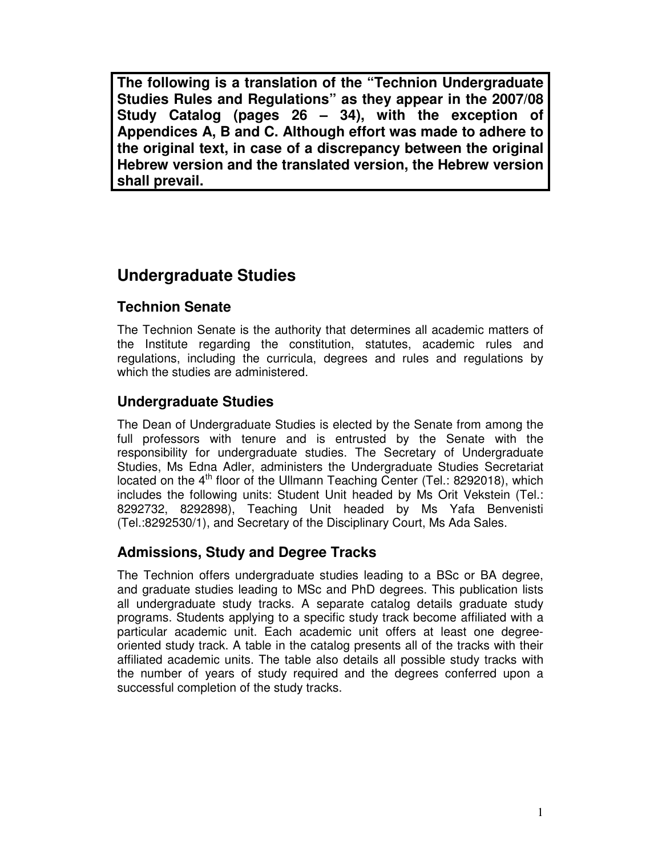**The following is a translation of the "Technion Undergraduate Studies Rules and Regulations" as they appear in the 2007/08 Study Catalog (pages 26 – 34), with the exception of Appendices A, B and C. Although effort was made to adhere to the original text, in case of a discrepancy between the original Hebrew version and the translated version, the Hebrew version shall prevail.** 

# **Undergraduate Studies**

# **Technion Senate**

The Technion Senate is the authority that determines all academic matters of the Institute regarding the constitution, statutes, academic rules and regulations, including the curricula, degrees and rules and regulations by which the studies are administered.

# **Undergraduate Studies**

The Dean of Undergraduate Studies is elected by the Senate from among the full professors with tenure and is entrusted by the Senate with the responsibility for undergraduate studies. The Secretary of Undergraduate Studies, Ms Edna Adler, administers the Undergraduate Studies Secretariat located on the 4<sup>th</sup> floor of the Ullmann Teaching Center (Tel.: 8292018), which includes the following units: Student Unit headed by Ms Orit Vekstein (Tel.: 8292732, 8292898), Teaching Unit headed by Ms Yafa Benvenisti (Tel.:8292530/1), and Secretary of the Disciplinary Court, Ms Ada Sales.

# **Admissions, Study and Degree Tracks**

The Technion offers undergraduate studies leading to a BSc or BA degree, and graduate studies leading to MSc and PhD degrees. This publication lists all undergraduate study tracks. A separate catalog details graduate study programs. Students applying to a specific study track become affiliated with a particular academic unit. Each academic unit offers at least one degreeoriented study track. A table in the catalog presents all of the tracks with their affiliated academic units. The table also details all possible study tracks with the number of years of study required and the degrees conferred upon a successful completion of the study tracks.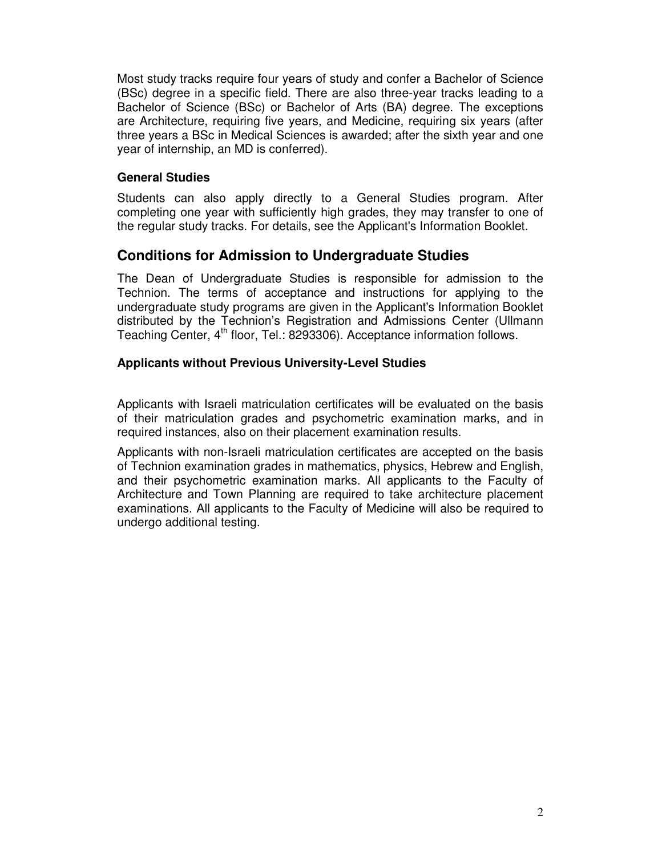Most study tracks require four years of study and confer a Bachelor of Science (BSc) degree in a specific field. There are also three-year tracks leading to a Bachelor of Science (BSc) or Bachelor of Arts (BA) degree. The exceptions are Architecture, requiring five years, and Medicine, requiring six years (after three years a BSc in Medical Sciences is awarded; after the sixth year and one year of internship, an MD is conferred).

#### **General Studies**

Students can also apply directly to a General Studies program. After completing one year with sufficiently high grades, they may transfer to one of the regular study tracks. For details, see the Applicant's Information Booklet.

# **Conditions for Admission to Undergraduate Studies**

The Dean of Undergraduate Studies is responsible for admission to the Technion. The terms of acceptance and instructions for applying to the undergraduate study programs are given in the Applicant's Information Booklet distributed by the Technion's Registration and Admissions Center (Ullmann Teaching Center, 4<sup>th</sup> floor, Tel.: 8293306). Acceptance information follows.

#### **Applicants without Previous University-Level Studies**

Applicants with Israeli matriculation certificates will be evaluated on the basis of their matriculation grades and psychometric examination marks, and in required instances, also on their placement examination results.

Applicants with non-Israeli matriculation certificates are accepted on the basis of Technion examination grades in mathematics, physics, Hebrew and English, and their psychometric examination marks. All applicants to the Faculty of Architecture and Town Planning are required to take architecture placement examinations. All applicants to the Faculty of Medicine will also be required to undergo additional testing.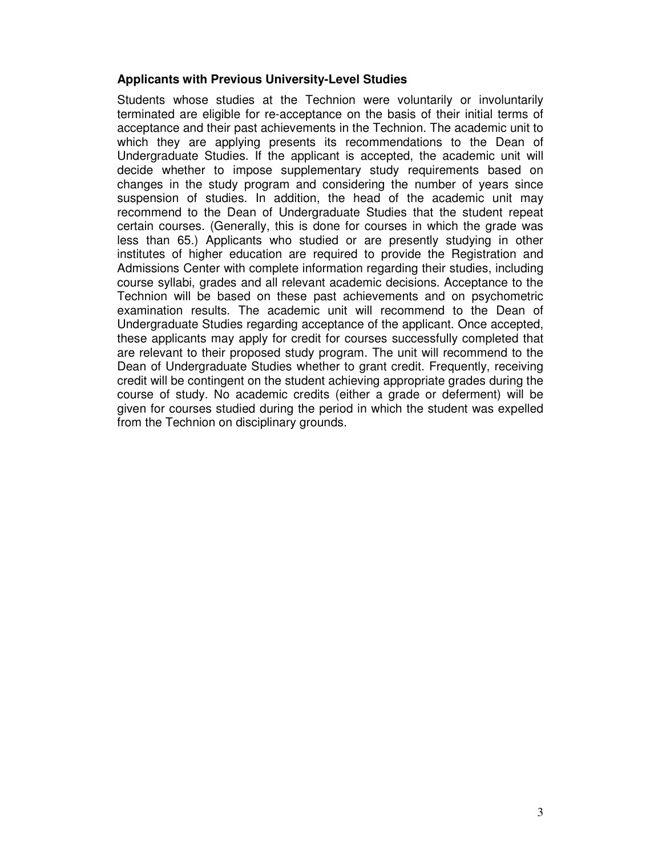#### **Applicants with Previous University-Level Studies**

Students whose studies at the Technion were voluntarily or involuntarily terminated are eligible for re-acceptance on the basis of their initial terms of acceptance and their past achievements in the Technion. The academic unit to which they are applying presents its recommendations to the Dean of Undergraduate Studies. If the applicant is accepted, the academic unit will decide whether to impose supplementary study requirements based on changes in the study program and considering the number of years since suspension of studies. In addition, the head of the academic unit may recommend to the Dean of Undergraduate Studies that the student repeat certain courses. (Generally, this is done for courses in which the grade was less than 65.) Applicants who studied or are presently studying in other institutes of higher education are required to provide the Registration and Admissions Center with complete information regarding their studies, including course syllabi, grades and all relevant academic decisions. Acceptance to the Technion will be based on these past achievements and on psychometric examination results. The academic unit will recommend to the Dean of Undergraduate Studies regarding acceptance of the applicant. Once accepted, these applicants may apply for credit for courses successfully completed that are relevant to their proposed study program. The unit will recommend to the Dean of Undergraduate Studies whether to grant credit. Frequently, receiving credit will be contingent on the student achieving appropriate grades during the course of study. No academic credits (either a grade or deferment) will be given for courses studied during the period in which the student was expelled from the Technion on disciplinary grounds.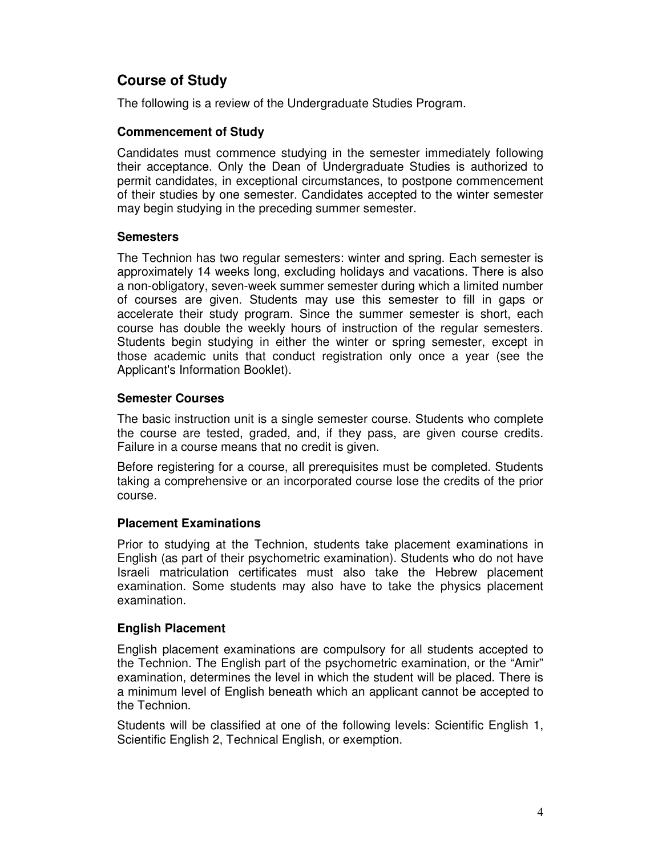# **Course of Study**

The following is a review of the Undergraduate Studies Program.

#### **Commencement of Study**

Candidates must commence studying in the semester immediately following their acceptance. Only the Dean of Undergraduate Studies is authorized to permit candidates, in exceptional circumstances, to postpone commencement of their studies by one semester. Candidates accepted to the winter semester may begin studying in the preceding summer semester.

#### **Semesters**

The Technion has two regular semesters: winter and spring. Each semester is approximately 14 weeks long, excluding holidays and vacations. There is also a non-obligatory, seven-week summer semester during which a limited number of courses are given. Students may use this semester to fill in gaps or accelerate their study program. Since the summer semester is short, each course has double the weekly hours of instruction of the regular semesters. Students begin studying in either the winter or spring semester, except in those academic units that conduct registration only once a year (see the Applicant's Information Booklet).

#### **Semester Courses**

The basic instruction unit is a single semester course. Students who complete the course are tested, graded, and, if they pass, are given course credits. Failure in a course means that no credit is given.

Before registering for a course, all prerequisites must be completed. Students taking a comprehensive or an incorporated course lose the credits of the prior course.

#### **Placement Examinations**

Prior to studying at the Technion, students take placement examinations in English (as part of their psychometric examination). Students who do not have Israeli matriculation certificates must also take the Hebrew placement examination. Some students may also have to take the physics placement examination.

#### **English Placement**

English placement examinations are compulsory for all students accepted to the Technion. The English part of the psychometric examination, or the "Amir" examination, determines the level in which the student will be placed. There is a minimum level of English beneath which an applicant cannot be accepted to the Technion.

Students will be classified at one of the following levels: Scientific English 1, Scientific English 2, Technical English, or exemption.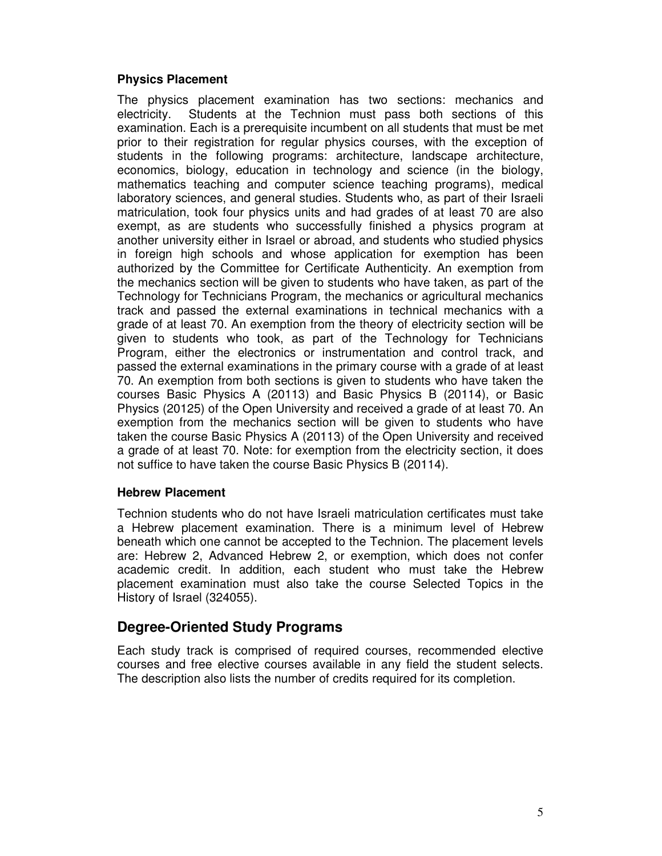#### **Physics Placement**

The physics placement examination has two sections: mechanics and electricity. Students at the Technion must pass both sections of this examination. Each is a prerequisite incumbent on all students that must be met prior to their registration for regular physics courses, with the exception of students in the following programs: architecture, landscape architecture, economics, biology, education in technology and science (in the biology, mathematics teaching and computer science teaching programs), medical laboratory sciences, and general studies. Students who, as part of their Israeli matriculation, took four physics units and had grades of at least 70 are also exempt, as are students who successfully finished a physics program at another university either in Israel or abroad, and students who studied physics in foreign high schools and whose application for exemption has been authorized by the Committee for Certificate Authenticity. An exemption from the mechanics section will be given to students who have taken, as part of the Technology for Technicians Program, the mechanics or agricultural mechanics track and passed the external examinations in technical mechanics with a grade of at least 70. An exemption from the theory of electricity section will be given to students who took, as part of the Technology for Technicians Program, either the electronics or instrumentation and control track, and passed the external examinations in the primary course with a grade of at least 70. An exemption from both sections is given to students who have taken the courses Basic Physics A (20113) and Basic Physics B (20114), or Basic Physics (20125) of the Open University and received a grade of at least 70. An exemption from the mechanics section will be given to students who have taken the course Basic Physics A (20113) of the Open University and received a grade of at least 70. Note: for exemption from the electricity section, it does not suffice to have taken the course Basic Physics B (20114).

#### **Hebrew Placement**

Technion students who do not have Israeli matriculation certificates must take a Hebrew placement examination. There is a minimum level of Hebrew beneath which one cannot be accepted to the Technion. The placement levels are: Hebrew 2, Advanced Hebrew 2, or exemption, which does not confer academic credit. In addition, each student who must take the Hebrew placement examination must also take the course Selected Topics in the History of Israel (324055).

## **Degree-Oriented Study Programs**

Each study track is comprised of required courses, recommended elective courses and free elective courses available in any field the student selects. The description also lists the number of credits required for its completion.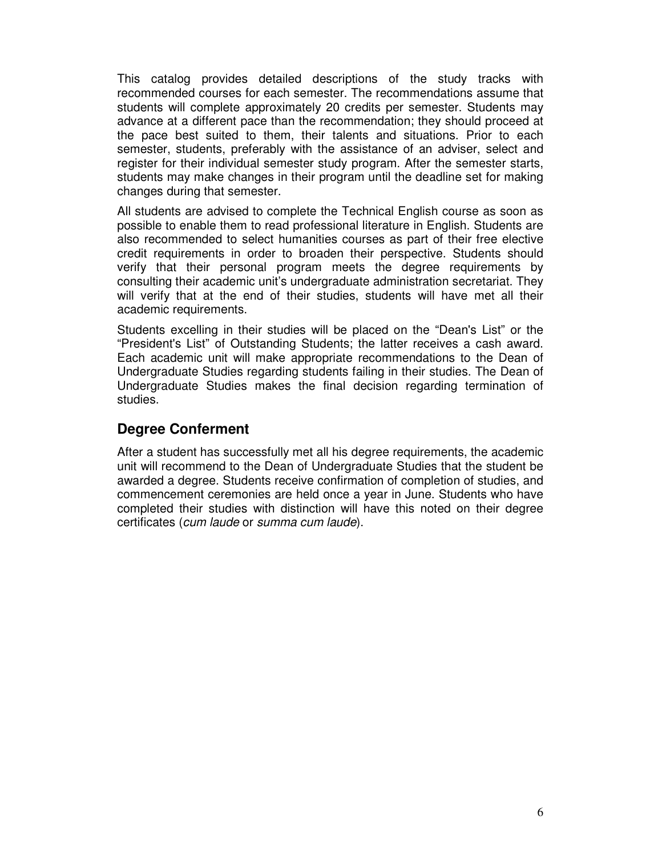This catalog provides detailed descriptions of the study tracks with recommended courses for each semester. The recommendations assume that students will complete approximately 20 credits per semester. Students may advance at a different pace than the recommendation; they should proceed at the pace best suited to them, their talents and situations. Prior to each semester, students, preferably with the assistance of an adviser, select and register for their individual semester study program. After the semester starts, students may make changes in their program until the deadline set for making changes during that semester.

All students are advised to complete the Technical English course as soon as possible to enable them to read professional literature in English. Students are also recommended to select humanities courses as part of their free elective credit requirements in order to broaden their perspective. Students should verify that their personal program meets the degree requirements by consulting their academic unit's undergraduate administration secretariat. They will verify that at the end of their studies, students will have met all their academic requirements.

Students excelling in their studies will be placed on the "Dean's List" or the "President's List" of Outstanding Students; the latter receives a cash award. Each academic unit will make appropriate recommendations to the Dean of Undergraduate Studies regarding students failing in their studies. The Dean of Undergraduate Studies makes the final decision regarding termination of studies.

# **Degree Conferment**

After a student has successfully met all his degree requirements, the academic unit will recommend to the Dean of Undergraduate Studies that the student be awarded a degree. Students receive confirmation of completion of studies, and commencement ceremonies are held once a year in June. Students who have completed their studies with distinction will have this noted on their degree certificates (cum laude or summa cum laude).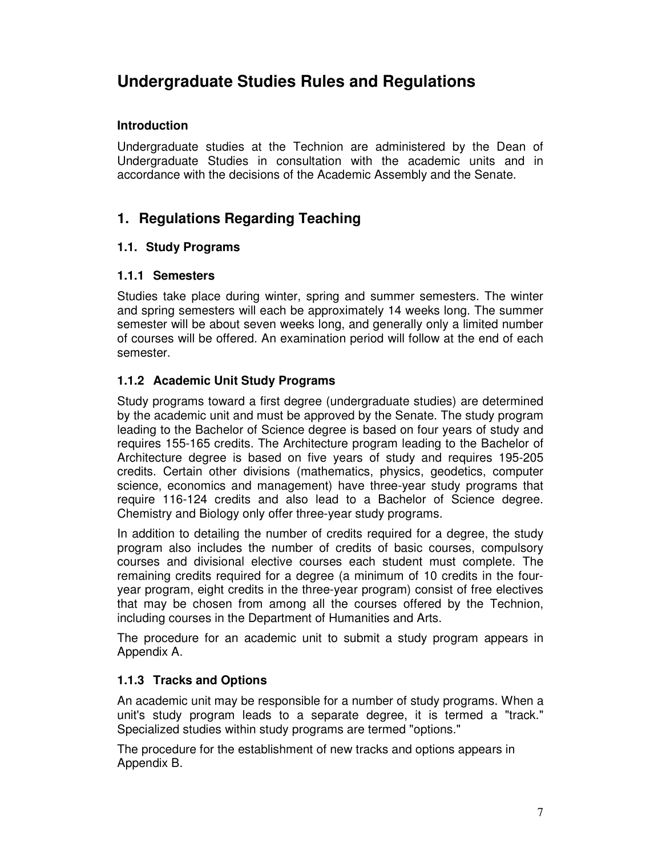# **Undergraduate Studies Rules and Regulations**

## **Introduction**

Undergraduate studies at the Technion are administered by the Dean of Undergraduate Studies in consultation with the academic units and in accordance with the decisions of the Academic Assembly and the Senate.

# **1. Regulations Regarding Teaching**

# **1.1. Study Programs**

# **1.1.1 Semesters**

Studies take place during winter, spring and summer semesters. The winter and spring semesters will each be approximately 14 weeks long. The summer semester will be about seven weeks long, and generally only a limited number of courses will be offered. An examination period will follow at the end of each semester.

# **1.1.2 Academic Unit Study Programs**

Study programs toward a first degree (undergraduate studies) are determined by the academic unit and must be approved by the Senate. The study program leading to the Bachelor of Science degree is based on four years of study and requires 155-165 credits. The Architecture program leading to the Bachelor of Architecture degree is based on five years of study and requires 195-205 credits. Certain other divisions (mathematics, physics, geodetics, computer science, economics and management) have three-year study programs that require 116-124 credits and also lead to a Bachelor of Science degree. Chemistry and Biology only offer three-year study programs.

In addition to detailing the number of credits required for a degree, the study program also includes the number of credits of basic courses, compulsory courses and divisional elective courses each student must complete. The remaining credits required for a degree (a minimum of 10 credits in the fouryear program, eight credits in the three-year program) consist of free electives that may be chosen from among all the courses offered by the Technion, including courses in the Department of Humanities and Arts.

The procedure for an academic unit to submit a study program appears in Appendix A.

## **1.1.3 Tracks and Options**

An academic unit may be responsible for a number of study programs. When a unit's study program leads to a separate degree, it is termed a "track." Specialized studies within study programs are termed "options."

The procedure for the establishment of new tracks and options appears in Appendix B.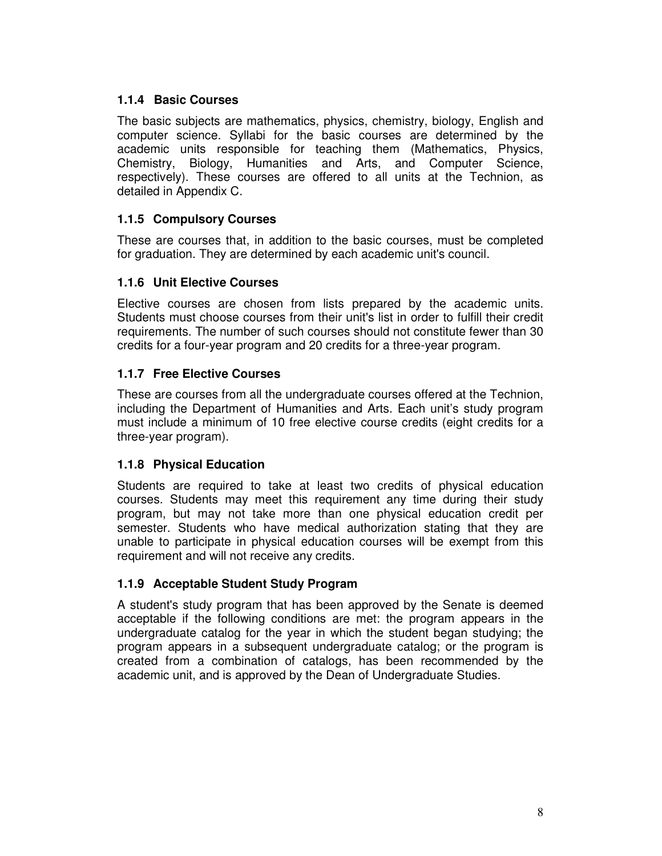## **1.1.4 Basic Courses**

The basic subjects are mathematics, physics, chemistry, biology, English and computer science. Syllabi for the basic courses are determined by the academic units responsible for teaching them (Mathematics, Physics, Chemistry, Biology, Humanities and Arts, and Computer Science, respectively). These courses are offered to all units at the Technion, as detailed in Appendix C.

## **1.1.5 Compulsory Courses**

These are courses that, in addition to the basic courses, must be completed for graduation. They are determined by each academic unit's council.

## **1.1.6 Unit Elective Courses**

Elective courses are chosen from lists prepared by the academic units. Students must choose courses from their unit's list in order to fulfill their credit requirements. The number of such courses should not constitute fewer than 30 credits for a four-year program and 20 credits for a three-year program.

# **1.1.7 Free Elective Courses**

These are courses from all the undergraduate courses offered at the Technion, including the Department of Humanities and Arts. Each unit's study program must include a minimum of 10 free elective course credits (eight credits for a three-year program).

## **1.1.8 Physical Education**

Students are required to take at least two credits of physical education courses. Students may meet this requirement any time during their study program, but may not take more than one physical education credit per semester. Students who have medical authorization stating that they are unable to participate in physical education courses will be exempt from this requirement and will not receive any credits.

## **1.1.9 Acceptable Student Study Program**

A student's study program that has been approved by the Senate is deemed acceptable if the following conditions are met: the program appears in the undergraduate catalog for the year in which the student began studying; the program appears in a subsequent undergraduate catalog; or the program is created from a combination of catalogs, has been recommended by the academic unit, and is approved by the Dean of Undergraduate Studies.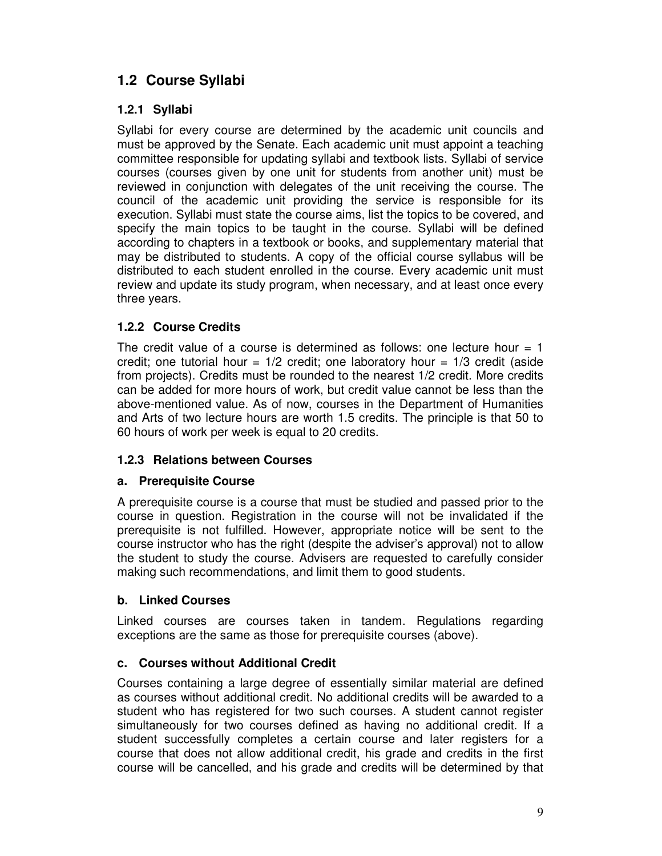# **1.2 Course Syllabi**

# **1.2.1 Syllabi**

Syllabi for every course are determined by the academic unit councils and must be approved by the Senate. Each academic unit must appoint a teaching committee responsible for updating syllabi and textbook lists. Syllabi of service courses (courses given by one unit for students from another unit) must be reviewed in conjunction with delegates of the unit receiving the course. The council of the academic unit providing the service is responsible for its execution. Syllabi must state the course aims, list the topics to be covered, and specify the main topics to be taught in the course. Syllabi will be defined according to chapters in a textbook or books, and supplementary material that may be distributed to students. A copy of the official course syllabus will be distributed to each student enrolled in the course. Every academic unit must review and update its study program, when necessary, and at least once every three years.

## **1.2.2 Course Credits**

The credit value of a course is determined as follows: one lecture hour  $= 1$ credit; one tutorial hour =  $1/2$  credit; one laboratory hour =  $1/3$  credit (aside from projects). Credits must be rounded to the nearest 1/2 credit. More credits can be added for more hours of work, but credit value cannot be less than the above-mentioned value. As of now, courses in the Department of Humanities and Arts of two lecture hours are worth 1.5 credits. The principle is that 50 to 60 hours of work per week is equal to 20 credits.

## **1.2.3 Relations between Courses**

## **a. Prerequisite Course**

A prerequisite course is a course that must be studied and passed prior to the course in question. Registration in the course will not be invalidated if the prerequisite is not fulfilled. However, appropriate notice will be sent to the course instructor who has the right (despite the adviser's approval) not to allow the student to study the course. Advisers are requested to carefully consider making such recommendations, and limit them to good students.

## **b. Linked Courses**

Linked courses are courses taken in tandem. Regulations regarding exceptions are the same as those for prerequisite courses (above).

## **c. Courses without Additional Credit**

Courses containing a large degree of essentially similar material are defined as courses without additional credit. No additional credits will be awarded to a student who has registered for two such courses. A student cannot register simultaneously for two courses defined as having no additional credit. If a student successfully completes a certain course and later registers for a course that does not allow additional credit, his grade and credits in the first course will be cancelled, and his grade and credits will be determined by that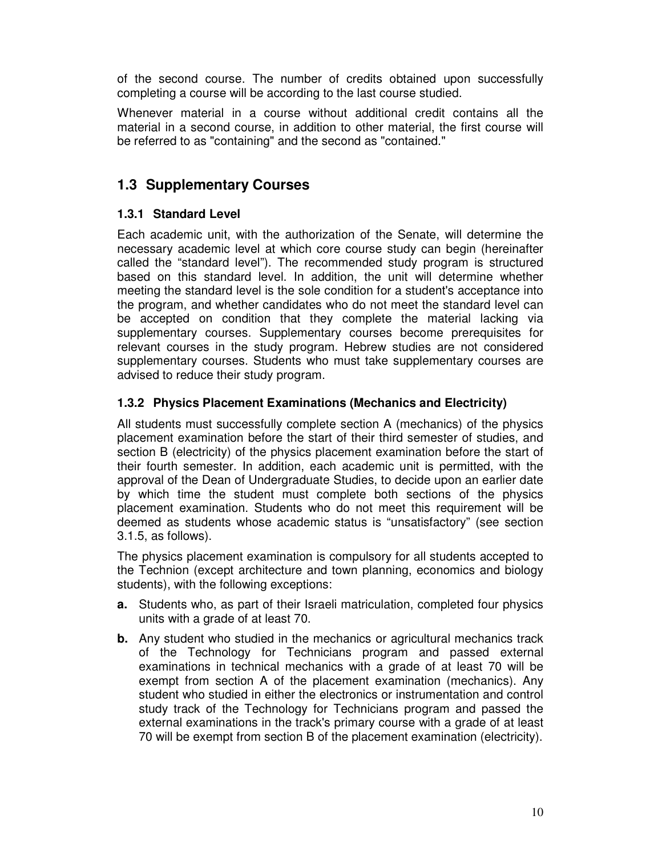of the second course. The number of credits obtained upon successfully completing a course will be according to the last course studied.

Whenever material in a course without additional credit contains all the material in a second course, in addition to other material, the first course will be referred to as "containing" and the second as "contained."

# **1.3 Supplementary Courses**

#### **1.3.1 Standard Level**

Each academic unit, with the authorization of the Senate, will determine the necessary academic level at which core course study can begin (hereinafter called the "standard level"). The recommended study program is structured based on this standard level. In addition, the unit will determine whether meeting the standard level is the sole condition for a student's acceptance into the program, and whether candidates who do not meet the standard level can be accepted on condition that they complete the material lacking via supplementary courses. Supplementary courses become prerequisites for relevant courses in the study program. Hebrew studies are not considered supplementary courses. Students who must take supplementary courses are advised to reduce their study program.

#### **1.3.2 Physics Placement Examinations (Mechanics and Electricity)**

All students must successfully complete section A (mechanics) of the physics placement examination before the start of their third semester of studies, and section B (electricity) of the physics placement examination before the start of their fourth semester. In addition, each academic unit is permitted, with the approval of the Dean of Undergraduate Studies, to decide upon an earlier date by which time the student must complete both sections of the physics placement examination. Students who do not meet this requirement will be deemed as students whose academic status is "unsatisfactory" (see section 3.1.5, as follows).

The physics placement examination is compulsory for all students accepted to the Technion (except architecture and town planning, economics and biology students), with the following exceptions:

- **a.** Students who, as part of their Israeli matriculation, completed four physics units with a grade of at least 70.
- **b.** Any student who studied in the mechanics or agricultural mechanics track of the Technology for Technicians program and passed external examinations in technical mechanics with a grade of at least 70 will be exempt from section A of the placement examination (mechanics). Any student who studied in either the electronics or instrumentation and control study track of the Technology for Technicians program and passed the external examinations in the track's primary course with a grade of at least 70 will be exempt from section B of the placement examination (electricity).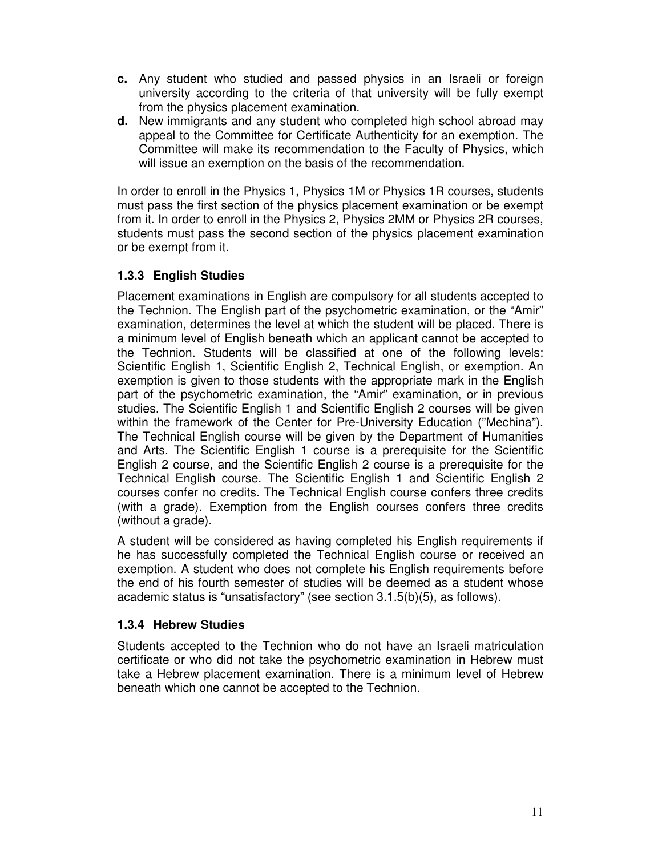- **c.** Any student who studied and passed physics in an Israeli or foreign university according to the criteria of that university will be fully exempt from the physics placement examination.
- **d.** New immigrants and any student who completed high school abroad may appeal to the Committee for Certificate Authenticity for an exemption. The Committee will make its recommendation to the Faculty of Physics, which will issue an exemption on the basis of the recommendation.

In order to enroll in the Physics 1, Physics 1M or Physics 1R courses, students must pass the first section of the physics placement examination or be exempt from it. In order to enroll in the Physics 2, Physics 2MM or Physics 2R courses, students must pass the second section of the physics placement examination or be exempt from it.

# **1.3.3 English Studies**

Placement examinations in English are compulsory for all students accepted to the Technion. The English part of the psychometric examination, or the "Amir" examination, determines the level at which the student will be placed. There is a minimum level of English beneath which an applicant cannot be accepted to the Technion. Students will be classified at one of the following levels: Scientific English 1, Scientific English 2, Technical English, or exemption. An exemption is given to those students with the appropriate mark in the English part of the psychometric examination, the "Amir" examination, or in previous studies. The Scientific English 1 and Scientific English 2 courses will be given within the framework of the Center for Pre-University Education ("Mechina"). The Technical English course will be given by the Department of Humanities and Arts. The Scientific English 1 course is a prerequisite for the Scientific English 2 course, and the Scientific English 2 course is a prerequisite for the Technical English course. The Scientific English 1 and Scientific English 2 courses confer no credits. The Technical English course confers three credits (with a grade). Exemption from the English courses confers three credits (without a grade).

A student will be considered as having completed his English requirements if he has successfully completed the Technical English course or received an exemption. A student who does not complete his English requirements before the end of his fourth semester of studies will be deemed as a student whose academic status is "unsatisfactory" (see section 3.1.5(b)(5), as follows).

## **1.3.4 Hebrew Studies**

Students accepted to the Technion who do not have an Israeli matriculation certificate or who did not take the psychometric examination in Hebrew must take a Hebrew placement examination. There is a minimum level of Hebrew beneath which one cannot be accepted to the Technion.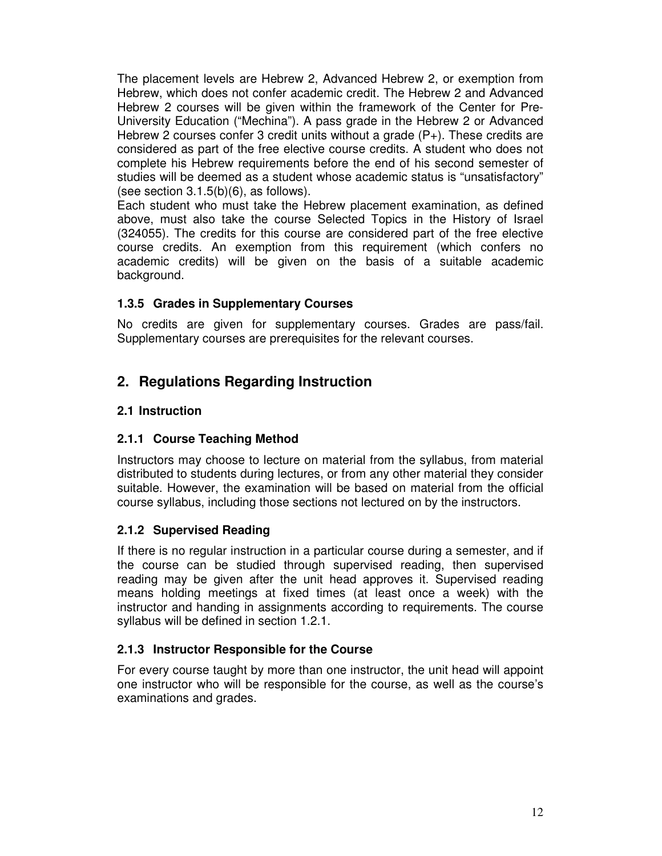The placement levels are Hebrew 2, Advanced Hebrew 2, or exemption from Hebrew, which does not confer academic credit. The Hebrew 2 and Advanced Hebrew 2 courses will be given within the framework of the Center for Pre-University Education ("Mechina"). A pass grade in the Hebrew 2 or Advanced Hebrew 2 courses confer 3 credit units without a grade (P+). These credits are considered as part of the free elective course credits. A student who does not complete his Hebrew requirements before the end of his second semester of studies will be deemed as a student whose academic status is "unsatisfactory" (see section  $3.1.5(b)(6)$ , as follows).

Each student who must take the Hebrew placement examination, as defined above, must also take the course Selected Topics in the History of Israel (324055). The credits for this course are considered part of the free elective course credits. An exemption from this requirement (which confers no academic credits) will be given on the basis of a suitable academic background.

# **1.3.5 Grades in Supplementary Courses**

No credits are given for supplementary courses. Grades are pass/fail. Supplementary courses are prerequisites for the relevant courses.

# **2. Regulations Regarding Instruction**

## **2.1 Instruction**

## **2.1.1 Course Teaching Method**

Instructors may choose to lecture on material from the syllabus, from material distributed to students during lectures, or from any other material they consider suitable. However, the examination will be based on material from the official course syllabus, including those sections not lectured on by the instructors.

## **2.1.2 Supervised Reading**

If there is no regular instruction in a particular course during a semester, and if the course can be studied through supervised reading, then supervised reading may be given after the unit head approves it. Supervised reading means holding meetings at fixed times (at least once a week) with the instructor and handing in assignments according to requirements. The course syllabus will be defined in section 1.2.1.

## **2.1.3 Instructor Responsible for the Course**

For every course taught by more than one instructor, the unit head will appoint one instructor who will be responsible for the course, as well as the course's examinations and grades.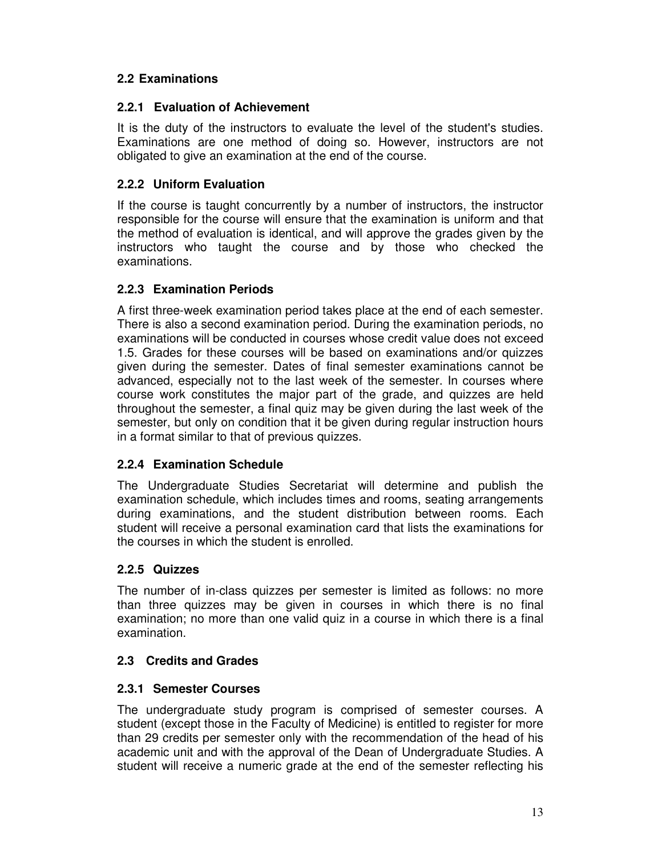# **2.2 Examinations**

## **2.2.1 Evaluation of Achievement**

It is the duty of the instructors to evaluate the level of the student's studies. Examinations are one method of doing so. However, instructors are not obligated to give an examination at the end of the course.

# **2.2.2 Uniform Evaluation**

If the course is taught concurrently by a number of instructors, the instructor responsible for the course will ensure that the examination is uniform and that the method of evaluation is identical, and will approve the grades given by the instructors who taught the course and by those who checked the examinations.

# **2.2.3 Examination Periods**

A first three-week examination period takes place at the end of each semester. There is also a second examination period. During the examination periods, no examinations will be conducted in courses whose credit value does not exceed 1.5. Grades for these courses will be based on examinations and/or quizzes given during the semester. Dates of final semester examinations cannot be advanced, especially not to the last week of the semester. In courses where course work constitutes the major part of the grade, and quizzes are held throughout the semester, a final quiz may be given during the last week of the semester, but only on condition that it be given during regular instruction hours in a format similar to that of previous quizzes.

# **2.2.4 Examination Schedule**

The Undergraduate Studies Secretariat will determine and publish the examination schedule, which includes times and rooms, seating arrangements during examinations, and the student distribution between rooms. Each student will receive a personal examination card that lists the examinations for the courses in which the student is enrolled.

# **2.2.5 Quizzes**

The number of in-class quizzes per semester is limited as follows: no more than three quizzes may be given in courses in which there is no final examination; no more than one valid quiz in a course in which there is a final examination.

## **2.3 Credits and Grades**

## **2.3.1 Semester Courses**

The undergraduate study program is comprised of semester courses. A student (except those in the Faculty of Medicine) is entitled to register for more than 29 credits per semester only with the recommendation of the head of his academic unit and with the approval of the Dean of Undergraduate Studies. A student will receive a numeric grade at the end of the semester reflecting his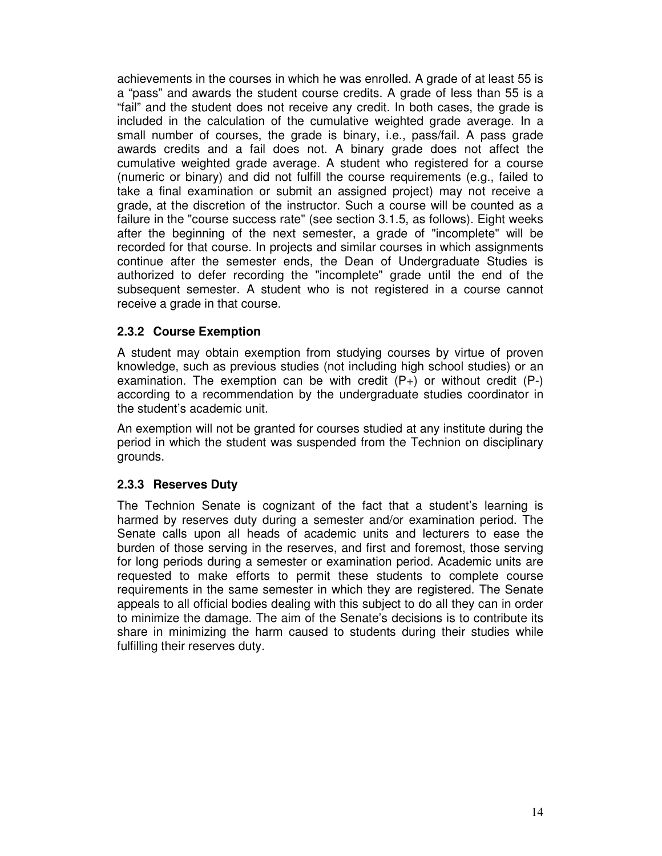achievements in the courses in which he was enrolled. A grade of at least 55 is a "pass" and awards the student course credits. A grade of less than 55 is a "fail" and the student does not receive any credit. In both cases, the grade is included in the calculation of the cumulative weighted grade average. In a small number of courses, the grade is binary, i.e., pass/fail. A pass grade awards credits and a fail does not. A binary grade does not affect the cumulative weighted grade average. A student who registered for a course (numeric or binary) and did not fulfill the course requirements (e.g., failed to take a final examination or submit an assigned project) may not receive a grade, at the discretion of the instructor. Such a course will be counted as a failure in the "course success rate" (see section 3.1.5, as follows). Eight weeks after the beginning of the next semester, a grade of "incomplete" will be recorded for that course. In projects and similar courses in which assignments continue after the semester ends, the Dean of Undergraduate Studies is authorized to defer recording the "incomplete" grade until the end of the subsequent semester. A student who is not registered in a course cannot receive a grade in that course.

## **2.3.2 Course Exemption**

A student may obtain exemption from studying courses by virtue of proven knowledge, such as previous studies (not including high school studies) or an examination. The exemption can be with credit  $(P+)$  or without credit  $(P-)$ according to a recommendation by the undergraduate studies coordinator in the student's academic unit.

An exemption will not be granted for courses studied at any institute during the period in which the student was suspended from the Technion on disciplinary grounds.

#### **2.3.3 Reserves Duty**

The Technion Senate is cognizant of the fact that a student's learning is harmed by reserves duty during a semester and/or examination period. The Senate calls upon all heads of academic units and lecturers to ease the burden of those serving in the reserves, and first and foremost, those serving for long periods during a semester or examination period. Academic units are requested to make efforts to permit these students to complete course requirements in the same semester in which they are registered. The Senate appeals to all official bodies dealing with this subject to do all they can in order to minimize the damage. The aim of the Senate's decisions is to contribute its share in minimizing the harm caused to students during their studies while fulfilling their reserves duty.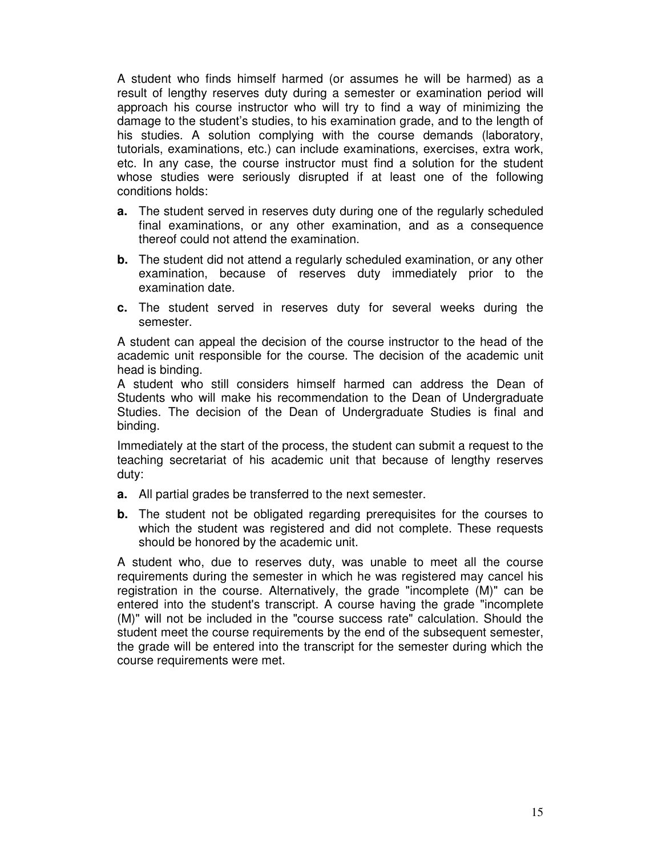A student who finds himself harmed (or assumes he will be harmed) as a result of lengthy reserves duty during a semester or examination period will approach his course instructor who will try to find a way of minimizing the damage to the student's studies, to his examination grade, and to the length of his studies. A solution complying with the course demands (laboratory, tutorials, examinations, etc.) can include examinations, exercises, extra work, etc. In any case, the course instructor must find a solution for the student whose studies were seriously disrupted if at least one of the following conditions holds:

- **a.** The student served in reserves duty during one of the regularly scheduled final examinations, or any other examination, and as a consequence thereof could not attend the examination.
- **b.** The student did not attend a regularly scheduled examination, or any other examination, because of reserves duty immediately prior to the examination date.
- **c.** The student served in reserves duty for several weeks during the semester.

A student can appeal the decision of the course instructor to the head of the academic unit responsible for the course. The decision of the academic unit head is binding.

A student who still considers himself harmed can address the Dean of Students who will make his recommendation to the Dean of Undergraduate Studies. The decision of the Dean of Undergraduate Studies is final and binding.

Immediately at the start of the process, the student can submit a request to the teaching secretariat of his academic unit that because of lengthy reserves duty:

- **a.** All partial grades be transferred to the next semester.
- **b.** The student not be obligated regarding prerequisites for the courses to which the student was registered and did not complete. These requests should be honored by the academic unit.

A student who, due to reserves duty, was unable to meet all the course requirements during the semester in which he was registered may cancel his registration in the course. Alternatively, the grade "incomplete (M)" can be entered into the student's transcript. A course having the grade "incomplete (M)" will not be included in the "course success rate" calculation. Should the student meet the course requirements by the end of the subsequent semester, the grade will be entered into the transcript for the semester during which the course requirements were met.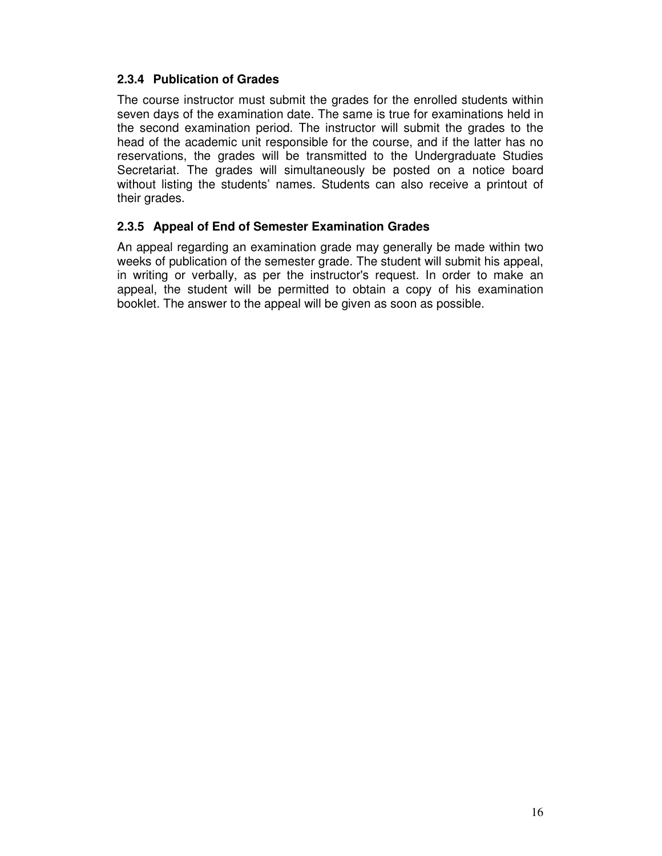#### **2.3.4 Publication of Grades**

The course instructor must submit the grades for the enrolled students within seven days of the examination date. The same is true for examinations held in the second examination period. The instructor will submit the grades to the head of the academic unit responsible for the course, and if the latter has no reservations, the grades will be transmitted to the Undergraduate Studies Secretariat. The grades will simultaneously be posted on a notice board without listing the students' names. Students can also receive a printout of their grades.

## **2.3.5 Appeal of End of Semester Examination Grades**

An appeal regarding an examination grade may generally be made within two weeks of publication of the semester grade. The student will submit his appeal, in writing or verbally, as per the instructor's request. In order to make an appeal, the student will be permitted to obtain a copy of his examination booklet. The answer to the appeal will be given as soon as possible.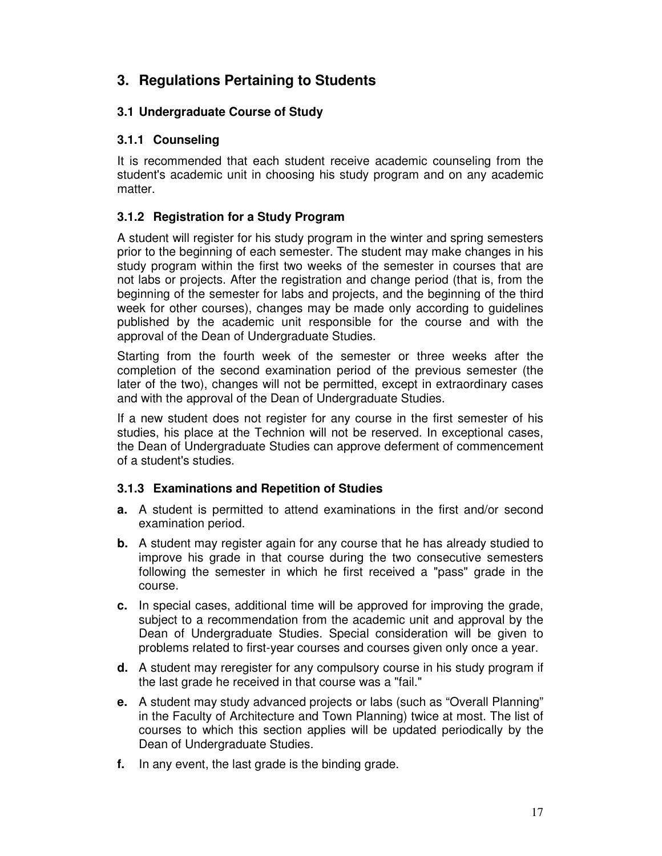# **3. Regulations Pertaining to Students**

# **3.1 Undergraduate Course of Study**

## **3.1.1 Counseling**

It is recommended that each student receive academic counseling from the student's academic unit in choosing his study program and on any academic matter.

# **3.1.2 Registration for a Study Program**

A student will register for his study program in the winter and spring semesters prior to the beginning of each semester. The student may make changes in his study program within the first two weeks of the semester in courses that are not labs or projects. After the registration and change period (that is, from the beginning of the semester for labs and projects, and the beginning of the third week for other courses), changes may be made only according to guidelines published by the academic unit responsible for the course and with the approval of the Dean of Undergraduate Studies.

Starting from the fourth week of the semester or three weeks after the completion of the second examination period of the previous semester (the later of the two), changes will not be permitted, except in extraordinary cases and with the approval of the Dean of Undergraduate Studies.

If a new student does not register for any course in the first semester of his studies, his place at the Technion will not be reserved. In exceptional cases, the Dean of Undergraduate Studies can approve deferment of commencement of a student's studies.

## **3.1.3 Examinations and Repetition of Studies**

- **a.** A student is permitted to attend examinations in the first and/or second examination period.
- **b.** A student may register again for any course that he has already studied to improve his grade in that course during the two consecutive semesters following the semester in which he first received a "pass" grade in the course.
- **c.** In special cases, additional time will be approved for improving the grade, subject to a recommendation from the academic unit and approval by the Dean of Undergraduate Studies. Special consideration will be given to problems related to first-year courses and courses given only once a year.
- **d.** A student may reregister for any compulsory course in his study program if the last grade he received in that course was a "fail."
- **e.** A student may study advanced projects or labs (such as "Overall Planning" in the Faculty of Architecture and Town Planning) twice at most. The list of courses to which this section applies will be updated periodically by the Dean of Undergraduate Studies.
- **f.** In any event, the last grade is the binding grade.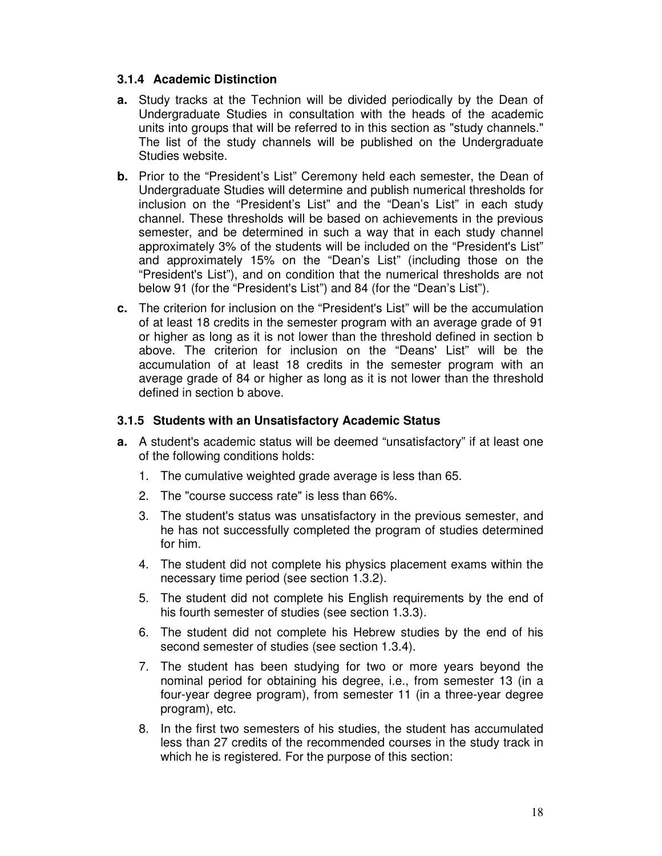#### **3.1.4 Academic Distinction**

- **a.** Study tracks at the Technion will be divided periodically by the Dean of Undergraduate Studies in consultation with the heads of the academic units into groups that will be referred to in this section as "study channels." The list of the study channels will be published on the Undergraduate Studies website.
- **b.** Prior to the "President's List" Ceremony held each semester, the Dean of Undergraduate Studies will determine and publish numerical thresholds for inclusion on the "President's List" and the "Dean's List" in each study channel. These thresholds will be based on achievements in the previous semester, and be determined in such a way that in each study channel approximately 3% of the students will be included on the "President's List" and approximately 15% on the "Dean's List" (including those on the "President's List"), and on condition that the numerical thresholds are not below 91 (for the "President's List") and 84 (for the "Dean's List").
- **c.** The criterion for inclusion on the "President's List" will be the accumulation of at least 18 credits in the semester program with an average grade of 91 or higher as long as it is not lower than the threshold defined in section b above. The criterion for inclusion on the "Deans' List" will be the accumulation of at least 18 credits in the semester program with an average grade of 84 or higher as long as it is not lower than the threshold defined in section b above.

#### **3.1.5 Students with an Unsatisfactory Academic Status**

- **a.** A student's academic status will be deemed "unsatisfactory" if at least one of the following conditions holds:
	- 1. The cumulative weighted grade average is less than 65.
	- 2. The "course success rate" is less than 66%.
	- 3. The student's status was unsatisfactory in the previous semester, and he has not successfully completed the program of studies determined for him.
	- 4. The student did not complete his physics placement exams within the necessary time period (see section 1.3.2).
	- 5. The student did not complete his English requirements by the end of his fourth semester of studies (see section 1.3.3).
	- 6. The student did not complete his Hebrew studies by the end of his second semester of studies (see section 1.3.4).
	- 7. The student has been studying for two or more years beyond the nominal period for obtaining his degree, i.e., from semester 13 (in a four-year degree program), from semester 11 (in a three-year degree program), etc.
	- 8. In the first two semesters of his studies, the student has accumulated less than 27 credits of the recommended courses in the study track in which he is registered. For the purpose of this section: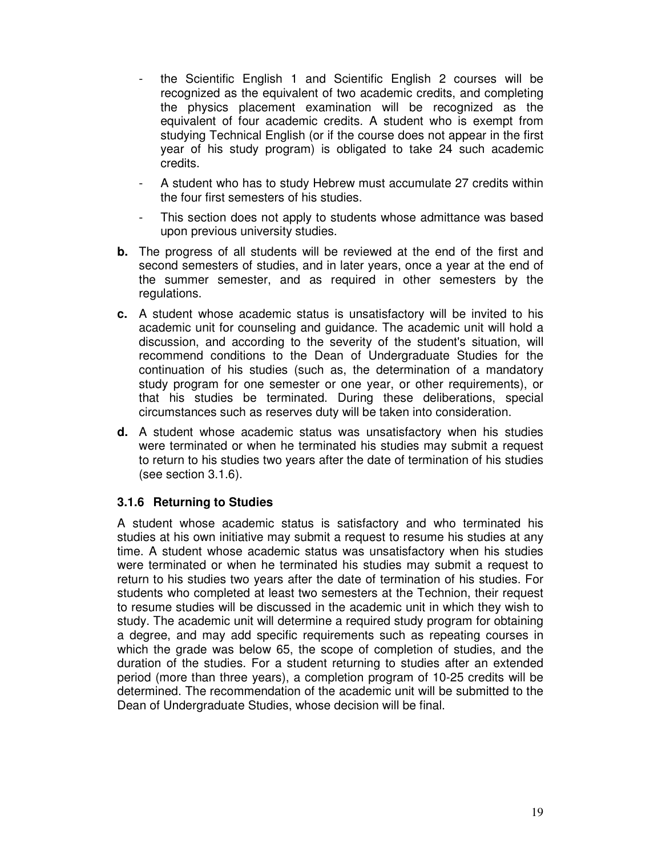- the Scientific English 1 and Scientific English 2 courses will be recognized as the equivalent of two academic credits, and completing the physics placement examination will be recognized as the equivalent of four academic credits. A student who is exempt from studying Technical English (or if the course does not appear in the first year of his study program) is obligated to take 24 such academic credits.
- A student who has to study Hebrew must accumulate 27 credits within the four first semesters of his studies.
- This section does not apply to students whose admittance was based upon previous university studies.
- **b.** The progress of all students will be reviewed at the end of the first and second semesters of studies, and in later years, once a year at the end of the summer semester, and as required in other semesters by the regulations.
- **c.** A student whose academic status is unsatisfactory will be invited to his academic unit for counseling and guidance. The academic unit will hold a discussion, and according to the severity of the student's situation, will recommend conditions to the Dean of Undergraduate Studies for the continuation of his studies (such as, the determination of a mandatory study program for one semester or one year, or other requirements), or that his studies be terminated. During these deliberations, special circumstances such as reserves duty will be taken into consideration.
- **d.** A student whose academic status was unsatisfactory when his studies were terminated or when he terminated his studies may submit a request to return to his studies two years after the date of termination of his studies (see section 3.1.6).

#### **3.1.6 Returning to Studies**

A student whose academic status is satisfactory and who terminated his studies at his own initiative may submit a request to resume his studies at any time. A student whose academic status was unsatisfactory when his studies were terminated or when he terminated his studies may submit a request to return to his studies two years after the date of termination of his studies. For students who completed at least two semesters at the Technion, their request to resume studies will be discussed in the academic unit in which they wish to study. The academic unit will determine a required study program for obtaining a degree, and may add specific requirements such as repeating courses in which the grade was below 65, the scope of completion of studies, and the duration of the studies. For a student returning to studies after an extended period (more than three years), a completion program of 10-25 credits will be determined. The recommendation of the academic unit will be submitted to the Dean of Undergraduate Studies, whose decision will be final.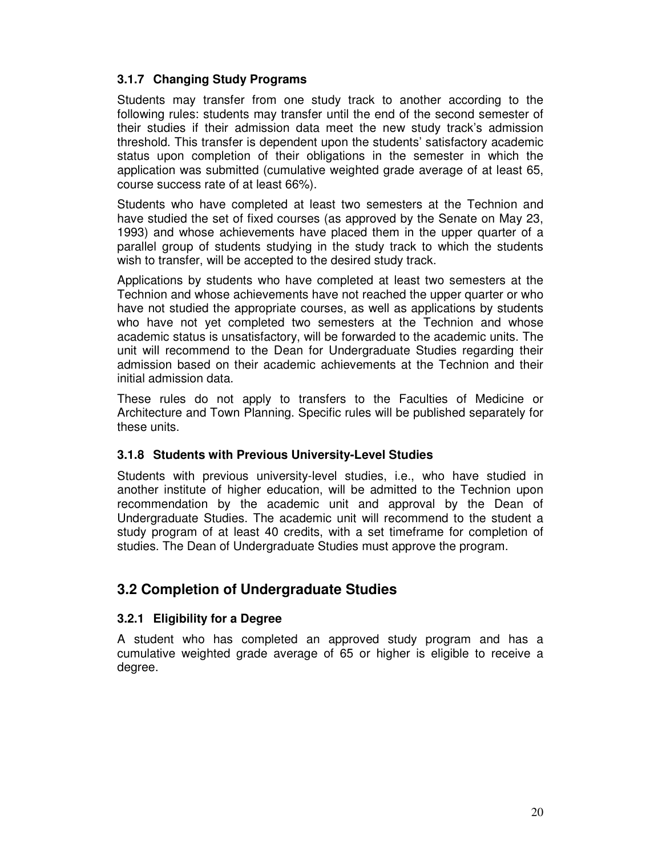## **3.1.7 Changing Study Programs**

Students may transfer from one study track to another according to the following rules: students may transfer until the end of the second semester of their studies if their admission data meet the new study track's admission threshold. This transfer is dependent upon the students' satisfactory academic status upon completion of their obligations in the semester in which the application was submitted (cumulative weighted grade average of at least 65, course success rate of at least 66%).

Students who have completed at least two semesters at the Technion and have studied the set of fixed courses (as approved by the Senate on May 23, 1993) and whose achievements have placed them in the upper quarter of a parallel group of students studying in the study track to which the students wish to transfer, will be accepted to the desired study track.

Applications by students who have completed at least two semesters at the Technion and whose achievements have not reached the upper quarter or who have not studied the appropriate courses, as well as applications by students who have not yet completed two semesters at the Technion and whose academic status is unsatisfactory, will be forwarded to the academic units. The unit will recommend to the Dean for Undergraduate Studies regarding their admission based on their academic achievements at the Technion and their initial admission data.

These rules do not apply to transfers to the Faculties of Medicine or Architecture and Town Planning. Specific rules will be published separately for these units.

#### **3.1.8 Students with Previous University-Level Studies**

Students with previous university-level studies, i.e., who have studied in another institute of higher education, will be admitted to the Technion upon recommendation by the academic unit and approval by the Dean of Undergraduate Studies. The academic unit will recommend to the student a study program of at least 40 credits, with a set timeframe for completion of studies. The Dean of Undergraduate Studies must approve the program.

# **3.2 Completion of Undergraduate Studies**

## **3.2.1 Eligibility for a Degree**

A student who has completed an approved study program and has a cumulative weighted grade average of 65 or higher is eligible to receive a degree.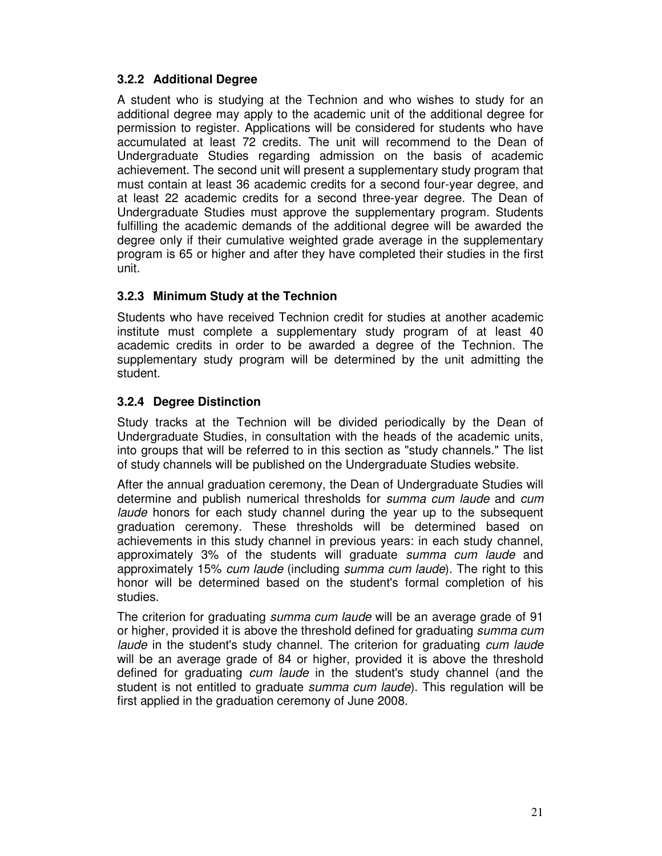## **3.2.2 Additional Degree**

A student who is studying at the Technion and who wishes to study for an additional degree may apply to the academic unit of the additional degree for permission to register. Applications will be considered for students who have accumulated at least 72 credits. The unit will recommend to the Dean of Undergraduate Studies regarding admission on the basis of academic achievement. The second unit will present a supplementary study program that must contain at least 36 academic credits for a second four-year degree, and at least 22 academic credits for a second three-year degree. The Dean of Undergraduate Studies must approve the supplementary program. Students fulfilling the academic demands of the additional degree will be awarded the degree only if their cumulative weighted grade average in the supplementary program is 65 or higher and after they have completed their studies in the first unit.

# **3.2.3 Minimum Study at the Technion**

Students who have received Technion credit for studies at another academic institute must complete a supplementary study program of at least 40 academic credits in order to be awarded a degree of the Technion. The supplementary study program will be determined by the unit admitting the student.

# **3.2.4 Degree Distinction**

Study tracks at the Technion will be divided periodically by the Dean of Undergraduate Studies, in consultation with the heads of the academic units, into groups that will be referred to in this section as "study channels." The list of study channels will be published on the Undergraduate Studies website.

After the annual graduation ceremony, the Dean of Undergraduate Studies will determine and publish numerical thresholds for summa cum laude and cum laude honors for each study channel during the year up to the subsequent graduation ceremony. These thresholds will be determined based on achievements in this study channel in previous years: in each study channel, approximately 3% of the students will graduate summa cum laude and approximately 15% cum laude (including summa cum laude). The right to this honor will be determined based on the student's formal completion of his studies.

The criterion for graduating *summa cum laude* will be an average grade of 91 or higher, provided it is above the threshold defined for graduating summa cum laude in the student's study channel. The criterion for graduating cum laude will be an average grade of 84 or higher, provided it is above the threshold defined for graduating cum laude in the student's study channel (and the student is not entitled to graduate *summa cum laude*). This regulation will be first applied in the graduation ceremony of June 2008.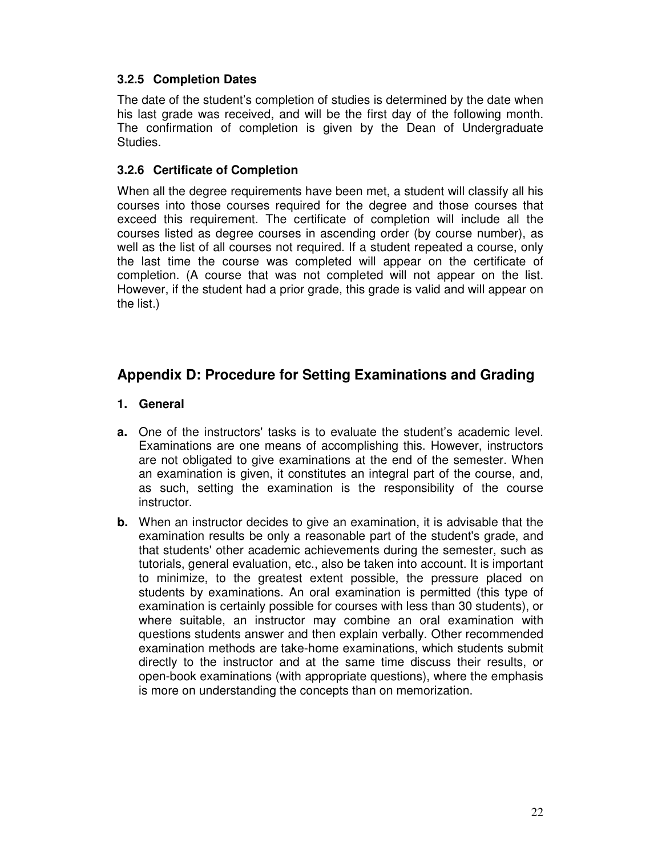## **3.2.5 Completion Dates**

The date of the student's completion of studies is determined by the date when his last grade was received, and will be the first day of the following month. The confirmation of completion is given by the Dean of Undergraduate Studies.

#### **3.2.6 Certificate of Completion**

When all the degree requirements have been met, a student will classify all his courses into those courses required for the degree and those courses that exceed this requirement. The certificate of completion will include all the courses listed as degree courses in ascending order (by course number), as well as the list of all courses not required. If a student repeated a course, only the last time the course was completed will appear on the certificate of completion. (A course that was not completed will not appear on the list. However, if the student had a prior grade, this grade is valid and will appear on the list.)

# **Appendix D: Procedure for Setting Examinations and Grading**

#### **1. General**

- **a.** One of the instructors' tasks is to evaluate the student's academic level. Examinations are one means of accomplishing this. However, instructors are not obligated to give examinations at the end of the semester. When an examination is given, it constitutes an integral part of the course, and, as such, setting the examination is the responsibility of the course instructor.
- **b.** When an instructor decides to give an examination, it is advisable that the examination results be only a reasonable part of the student's grade, and that students' other academic achievements during the semester, such as tutorials, general evaluation, etc., also be taken into account. It is important to minimize, to the greatest extent possible, the pressure placed on students by examinations. An oral examination is permitted (this type of examination is certainly possible for courses with less than 30 students), or where suitable, an instructor may combine an oral examination with questions students answer and then explain verbally. Other recommended examination methods are take-home examinations, which students submit directly to the instructor and at the same time discuss their results, or open-book examinations (with appropriate questions), where the emphasis is more on understanding the concepts than on memorization.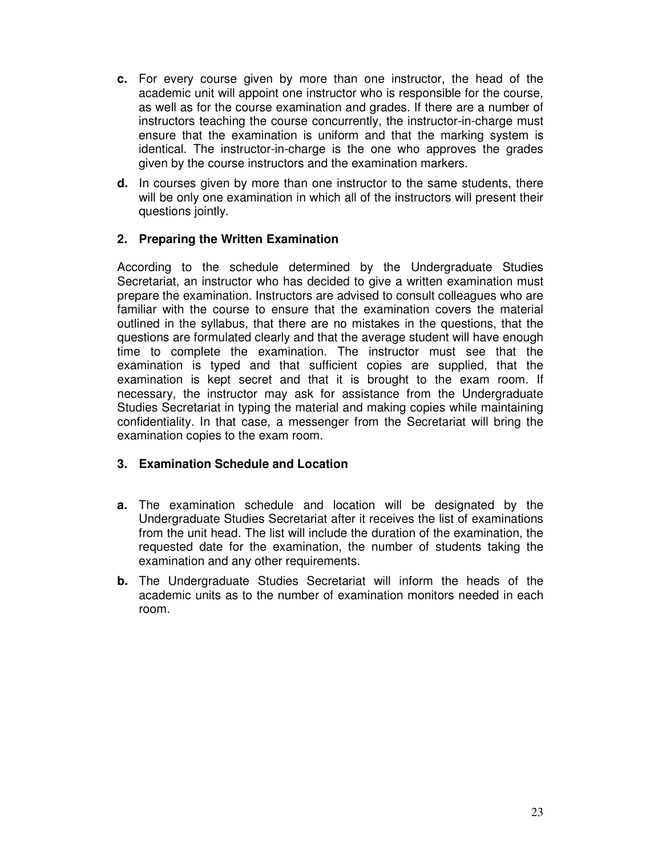- **c.** For every course given by more than one instructor, the head of the academic unit will appoint one instructor who is responsible for the course, as well as for the course examination and grades. If there are a number of instructors teaching the course concurrently, the instructor-in-charge must ensure that the examination is uniform and that the marking system is identical. The instructor-in-charge is the one who approves the grades given by the course instructors and the examination markers.
- **d.** In courses given by more than one instructor to the same students, there will be only one examination in which all of the instructors will present their questions jointly.

#### **2. Preparing the Written Examination**

According to the schedule determined by the Undergraduate Studies Secretariat, an instructor who has decided to give a written examination must prepare the examination. Instructors are advised to consult colleagues who are familiar with the course to ensure that the examination covers the material outlined in the syllabus, that there are no mistakes in the questions, that the questions are formulated clearly and that the average student will have enough time to complete the examination. The instructor must see that the examination is typed and that sufficient copies are supplied, that the examination is kept secret and that it is brought to the exam room. If necessary, the instructor may ask for assistance from the Undergraduate Studies Secretariat in typing the material and making copies while maintaining confidentiality. In that case, a messenger from the Secretariat will bring the examination copies to the exam room.

## **3. Examination Schedule and Location**

- **a.** The examination schedule and location will be designated by the Undergraduate Studies Secretariat after it receives the list of examinations from the unit head. The list will include the duration of the examination, the requested date for the examination, the number of students taking the examination and any other requirements.
- **b.** The Undergraduate Studies Secretariat will inform the heads of the academic units as to the number of examination monitors needed in each room.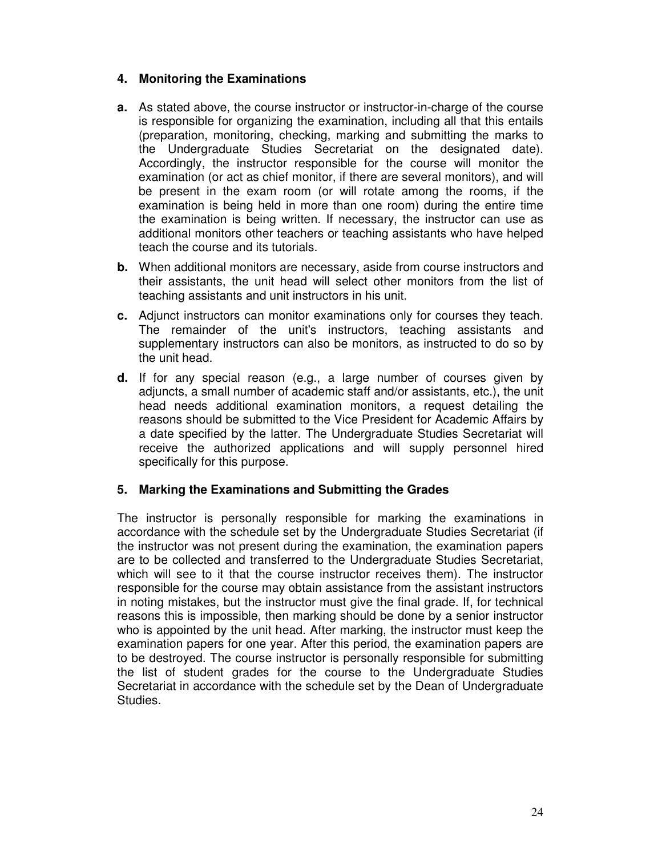#### **4. Monitoring the Examinations**

- **a.** As stated above, the course instructor or instructor-in-charge of the course is responsible for organizing the examination, including all that this entails (preparation, monitoring, checking, marking and submitting the marks to the Undergraduate Studies Secretariat on the designated date). Accordingly, the instructor responsible for the course will monitor the examination (or act as chief monitor, if there are several monitors), and will be present in the exam room (or will rotate among the rooms, if the examination is being held in more than one room) during the entire time the examination is being written. If necessary, the instructor can use as additional monitors other teachers or teaching assistants who have helped teach the course and its tutorials.
- **b.** When additional monitors are necessary, aside from course instructors and their assistants, the unit head will select other monitors from the list of teaching assistants and unit instructors in his unit.
- **c.** Adjunct instructors can monitor examinations only for courses they teach. The remainder of the unit's instructors, teaching assistants and supplementary instructors can also be monitors, as instructed to do so by the unit head.
- **d.** If for any special reason (e.g., a large number of courses given by adjuncts, a small number of academic staff and/or assistants, etc.), the unit head needs additional examination monitors, a request detailing the reasons should be submitted to the Vice President for Academic Affairs by a date specified by the latter. The Undergraduate Studies Secretariat will receive the authorized applications and will supply personnel hired specifically for this purpose.

#### **5. Marking the Examinations and Submitting the Grades**

The instructor is personally responsible for marking the examinations in accordance with the schedule set by the Undergraduate Studies Secretariat (if the instructor was not present during the examination, the examination papers are to be collected and transferred to the Undergraduate Studies Secretariat, which will see to it that the course instructor receives them). The instructor responsible for the course may obtain assistance from the assistant instructors in noting mistakes, but the instructor must give the final grade. If, for technical reasons this is impossible, then marking should be done by a senior instructor who is appointed by the unit head. After marking, the instructor must keep the examination papers for one year. After this period, the examination papers are to be destroyed. The course instructor is personally responsible for submitting the list of student grades for the course to the Undergraduate Studies Secretariat in accordance with the schedule set by the Dean of Undergraduate Studies.